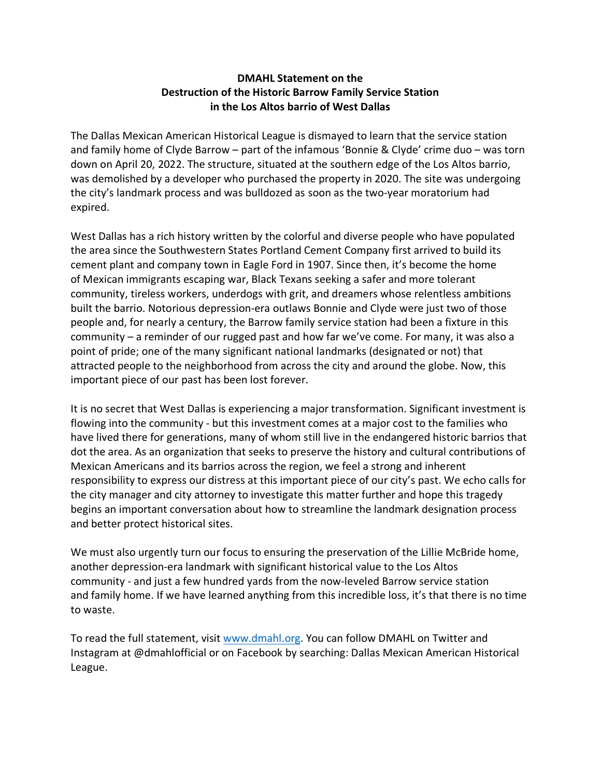## **DMAHL Statement on the Destruction of the Historic Barrow Family Service Station in the Los Altos barrio of West Dallas**

The Dallas Mexican American Historical League is dismayed to learn that the service station and family home of Clyde Barrow – part of the infamous 'Bonnie & Clyde' crime duo – was torn down on April 20, 2022. The structure, situated at the southern edge of the Los Altos barrio, was demolished by a developer who purchased the property in 2020. The site was undergoing the city's landmark process and was bulldozed as soon as the two-year moratorium had expired.

West Dallas has a rich history written by the colorful and diverse people who have populated the area since the Southwestern States Portland Cement Company first arrived to build its cement plant and company town in Eagle Ford in 1907. Since then, it's become the home of Mexican immigrants escaping war, Black Texans seeking a safer and more tolerant community, tireless workers, underdogs with grit, and dreamers whose relentless ambitions built the barrio. Notorious depression-era outlaws Bonnie and Clyde were just two of those people and, for nearly a century, the Barrow family service station had been a fixture in this community – a reminder of our rugged past and how far we've come. For many, it was also a point of pride; one of the many significant national landmarks (designated or not) that attracted people to the neighborhood from across the city and around the globe. Now, this important piece of our past has been lost forever.

It is no secret that West Dallas is experiencing a major transformation. Significant investment is flowing into the community - but this investment comes at a major cost to the families who have lived there for generations, many of whom still live in the endangered historic barrios that dot the area. As an organization that seeks to preserve the history and cultural contributions of Mexican Americans and its barrios across the region, we feel a strong and inherent responsibility to express our distress at this important piece of our city's past. We echo calls for the city manager and city attorney to investigate this matter further and hope this tragedy begins an important conversation about how to streamline the landmark designation process and better protect historical sites.

We must also urgently turn our focus to ensuring the preservation of the Lillie McBride home, another depression-era landmark with significant historical value to the Los Altos community - and just a few hundred yards from the now-leveled Barrow service station and family home. If we have learned anything from this incredible loss, it's that there is no time to waste.

To read the full statement, visit www.dmahl.org. You can follow DMAHL on Twitter and Instagram at @dmahlofficial or on Facebook by searching: Dallas Mexican American Historical League.